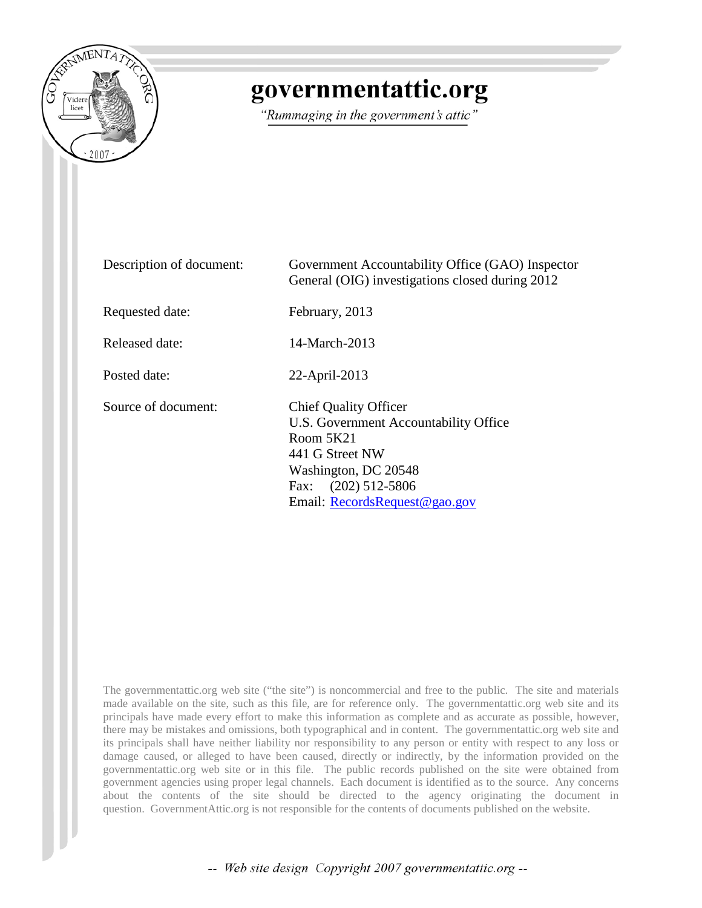

## governmentattic.org

"Rummaging in the government's attic"

| Description of document: | Government Accountability Office (GAO) Inspector<br>General (OIG) investigations closed during 2012                                                                                           |
|--------------------------|-----------------------------------------------------------------------------------------------------------------------------------------------------------------------------------------------|
| Requested date:          | February, 2013                                                                                                                                                                                |
| Released date:           | 14-March-2013                                                                                                                                                                                 |
| Posted date:             | 22-April-2013                                                                                                                                                                                 |
| Source of document:      | <b>Chief Quality Officer</b><br>U.S. Government Accountability Office<br>Room $5K21$<br>441 G Street NW<br>Washington, DC 20548<br>$(202)$ 512-5806<br>Fax:<br>Email: $ReordsRequest@gao.gov$ |

The governmentattic.org web site ("the site") is noncommercial and free to the public. The site and materials made available on the site, such as this file, are for reference only. The governmentattic.org web site and its principals have made every effort to make this information as complete and as accurate as possible, however, there may be mistakes and omissions, both typographical and in content. The governmentattic.org web site and its principals shall have neither liability nor responsibility to any person or entity with respect to any loss or damage caused, or alleged to have been caused, directly or indirectly, by the information provided on the governmentattic.org web site or in this file. The public records published on the site were obtained from government agencies using proper legal channels. Each document is identified as to the source. Any concerns about the contents of the site should be directed to the agency originating the document in question. GovernmentAttic.org is not responsible for the contents of documents published on the website.

-- Web site design Copyright 2007 governmentattic.org --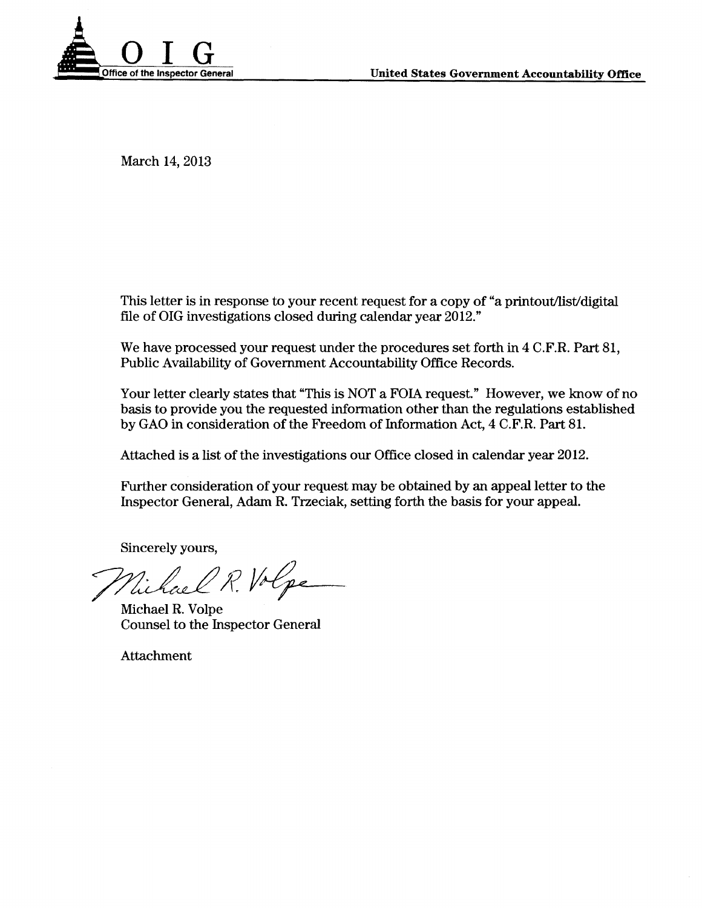

March 14, 2013

This letter is in response to your recent request for a copy of "a printout/list/digital file of OIG investigations closed during calendar year 2012."

We have processed your request under the procedures set forth in 4 C.F.R. Part 81, Public Availability of Government Accountability Office Records.

Your letter clearly states that "This is NOT a FOIA request." However, we know of no basis to provide you the requested information other than the regulations established by GAO in consideration of the Freedom of Information Act, 4 C.F.R. Part 81.

Attached is a list of the investigations our Office closed in calendar year 2012.

Further consideration of your request may be obtained by an appeal letter to the Inspector General, Adam R. Trzeciak, setting forth the basis for your appeal.

Sincerely yours,

ael R. Volpe

Michael R. Volpe Counsel to the Inspector General

Attachment